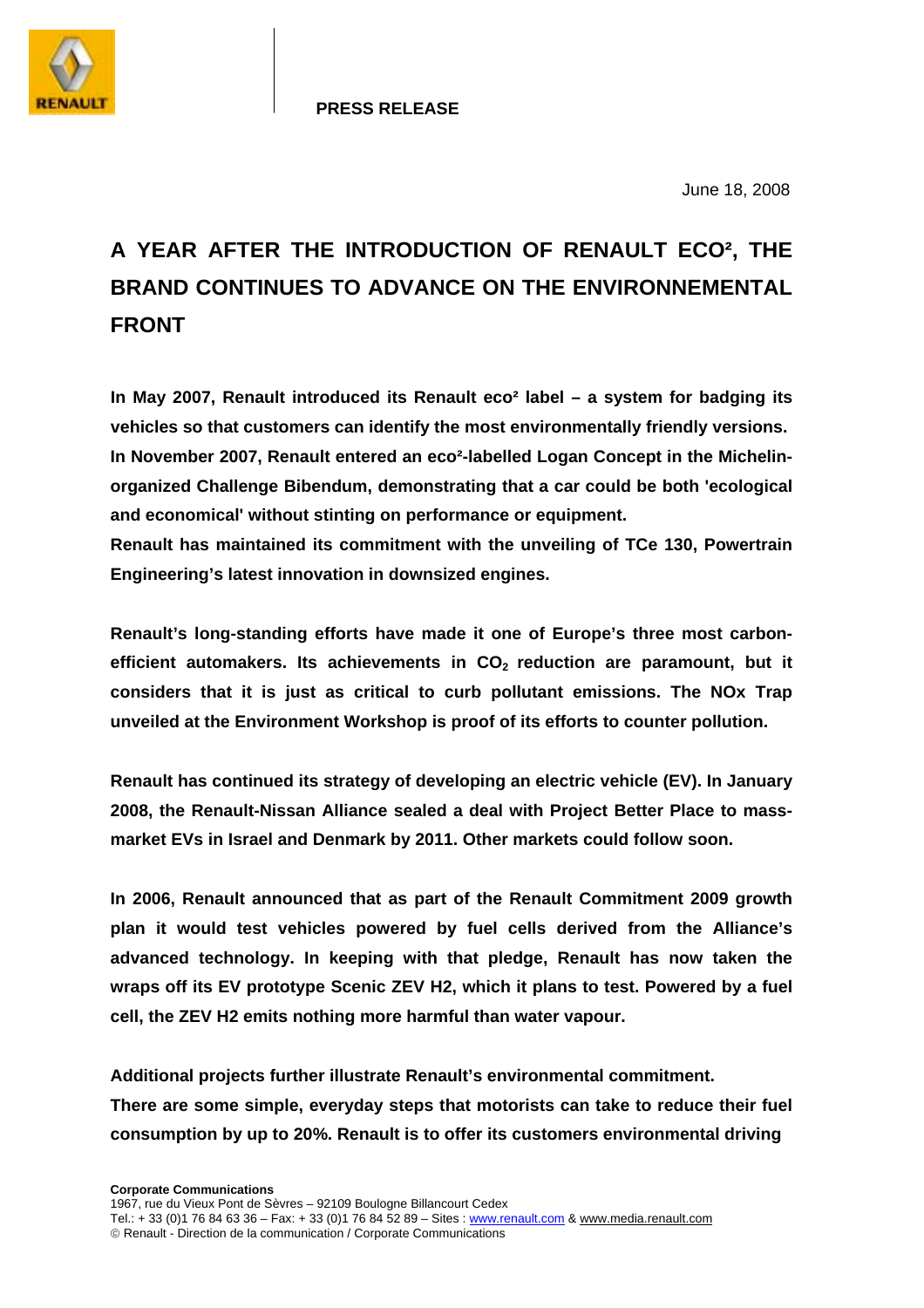

#### **PRESS RELEASE**

June 18, 2008

# **A YEAR AFTER THE INTRODUCTION OF RENAULT ECO², THE BRAND CONTINUES TO ADVANCE ON THE ENVIRONNEMENTAL FRONT**

**In May 2007, Renault introduced its Renault eco² label – a system for badging its vehicles so that customers can identify the most environmentally friendly versions. In November 2007, Renault entered an eco²-labelled Logan Concept in the Michelinorganized Challenge Bibendum, demonstrating that a car could be both 'ecological and economical' without stinting on performance or equipment.** 

**Renault has maintained its commitment with the unveiling of TCe 130, Powertrain Engineering's latest innovation in downsized engines.** 

**Renault's long-standing efforts have made it one of Europe's three most carbon**efficient automakers. Its achievements in CO<sub>2</sub> reduction are paramount, but it **considers that it is just as critical to curb pollutant emissions. The NOx Trap unveiled at the Environment Workshop is proof of its efforts to counter pollution.** 

**Renault has continued its strategy of developing an electric vehicle (EV). In January 2008, the Renault-Nissan Alliance sealed a deal with Project Better Place to massmarket EVs in Israel and Denmark by 2011. Other markets could follow soon.** 

**In 2006, Renault announced that as part of the Renault Commitment 2009 growth plan it would test vehicles powered by fuel cells derived from the Alliance's advanced technology. In keeping with that pledge, Renault has now taken the wraps off its EV prototype Scenic ZEV H2, which it plans to test. Powered by a fuel cell, the ZEV H2 emits nothing more harmful than water vapour.** 

**Additional projects further illustrate Renault's environmental commitment. There are some simple, everyday steps that motorists can take to reduce their fuel consumption by up to 20%. Renault is to offer its customers environmental driving**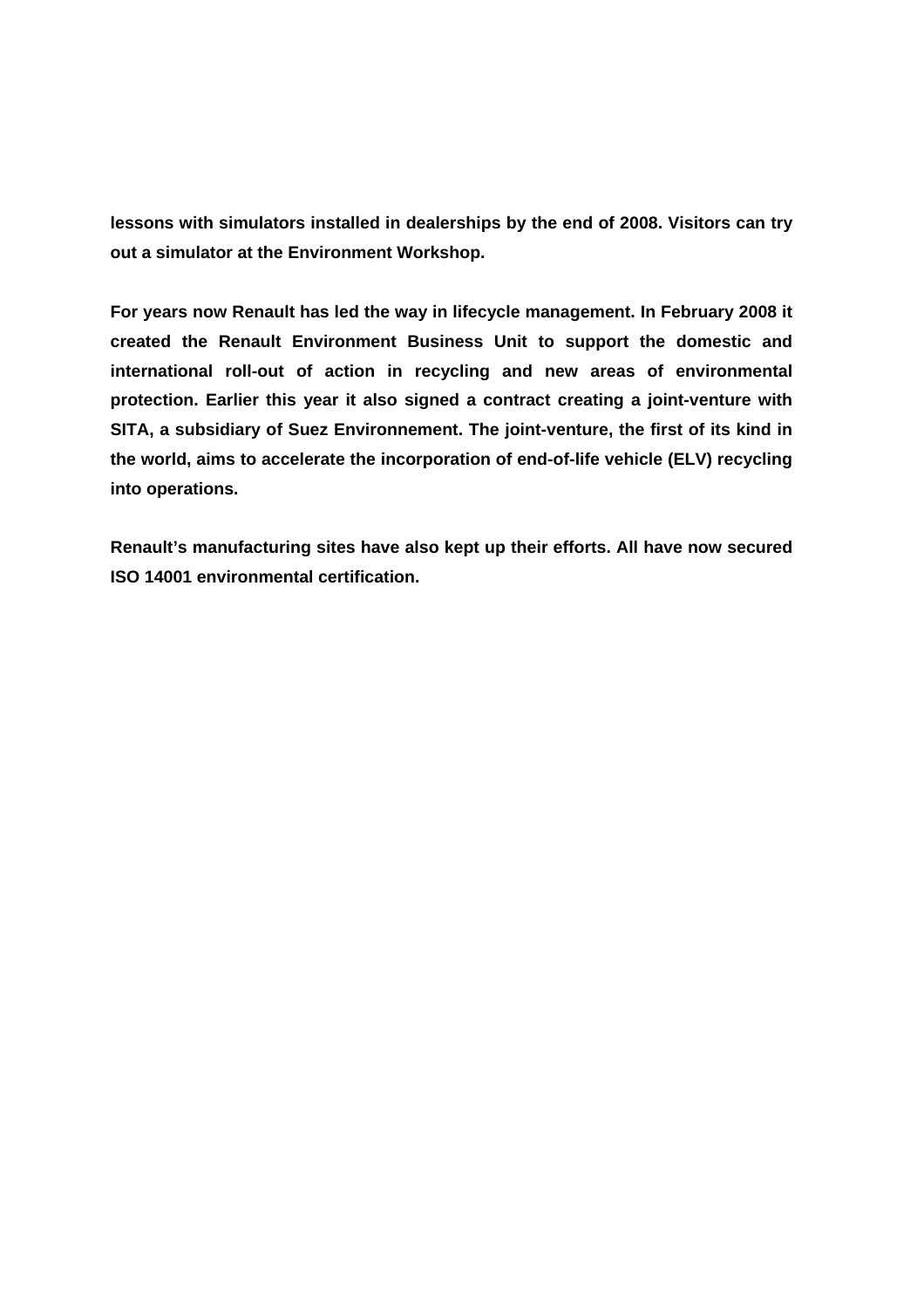**lessons with simulators installed in dealerships by the end of 2008. Visitors can try out a simulator at the Environment Workshop.** 

**For years now Renault has led the way in lifecycle management. In February 2008 it created the Renault Environment Business Unit to support the domestic and international roll-out of action in recycling and new areas of environmental protection. Earlier this year it also signed a contract creating a joint-venture with SITA, a subsidiary of Suez Environnement. The joint-venture, the first of its kind in the world, aims to accelerate the incorporation of end-of-life vehicle (ELV) recycling into operations.** 

**Renault's manufacturing sites have also kept up their efforts. All have now secured ISO 14001 environmental certification.**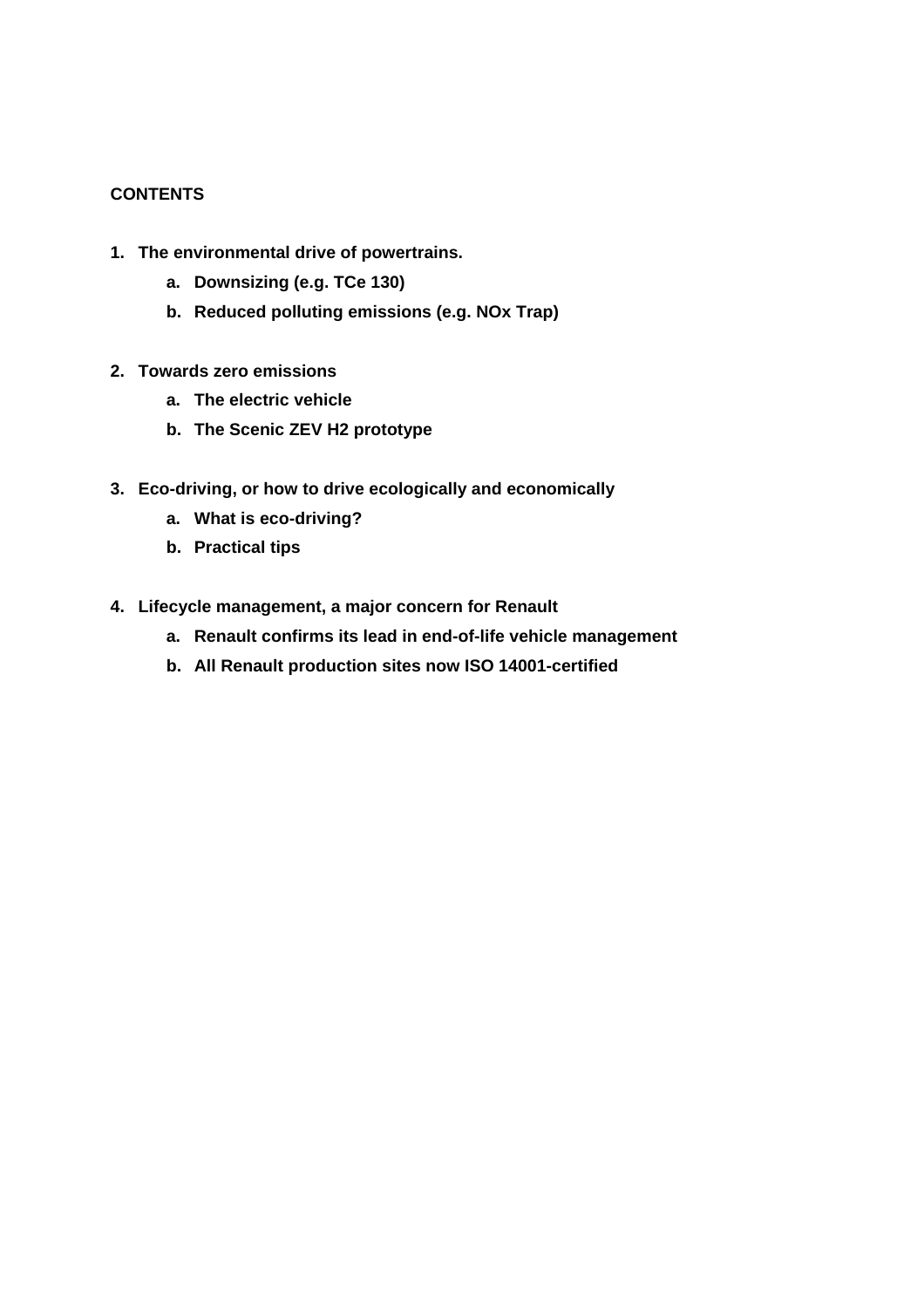# **CONTENTS**

- **1. The environmental drive of powertrains.** 
	- **a. Downsizing (e.g. TCe 130)**
	- **b. Reduced polluting emissions (e.g. NOx Trap)**
- **2. Towards zero emissions** 
	- **a. The electric vehicle**
	- **b. The Scenic ZEV H2 prototype**
- **3. Eco-driving, or how to drive ecologically and economically** 
	- **a. What is eco-driving?**
	- **b. Practical tips**
- **4. Lifecycle management, a major concern for Renault** 
	- **a. Renault confirms its lead in end-of-life vehicle management**
	- **b. All Renault production sites now ISO 14001-certified**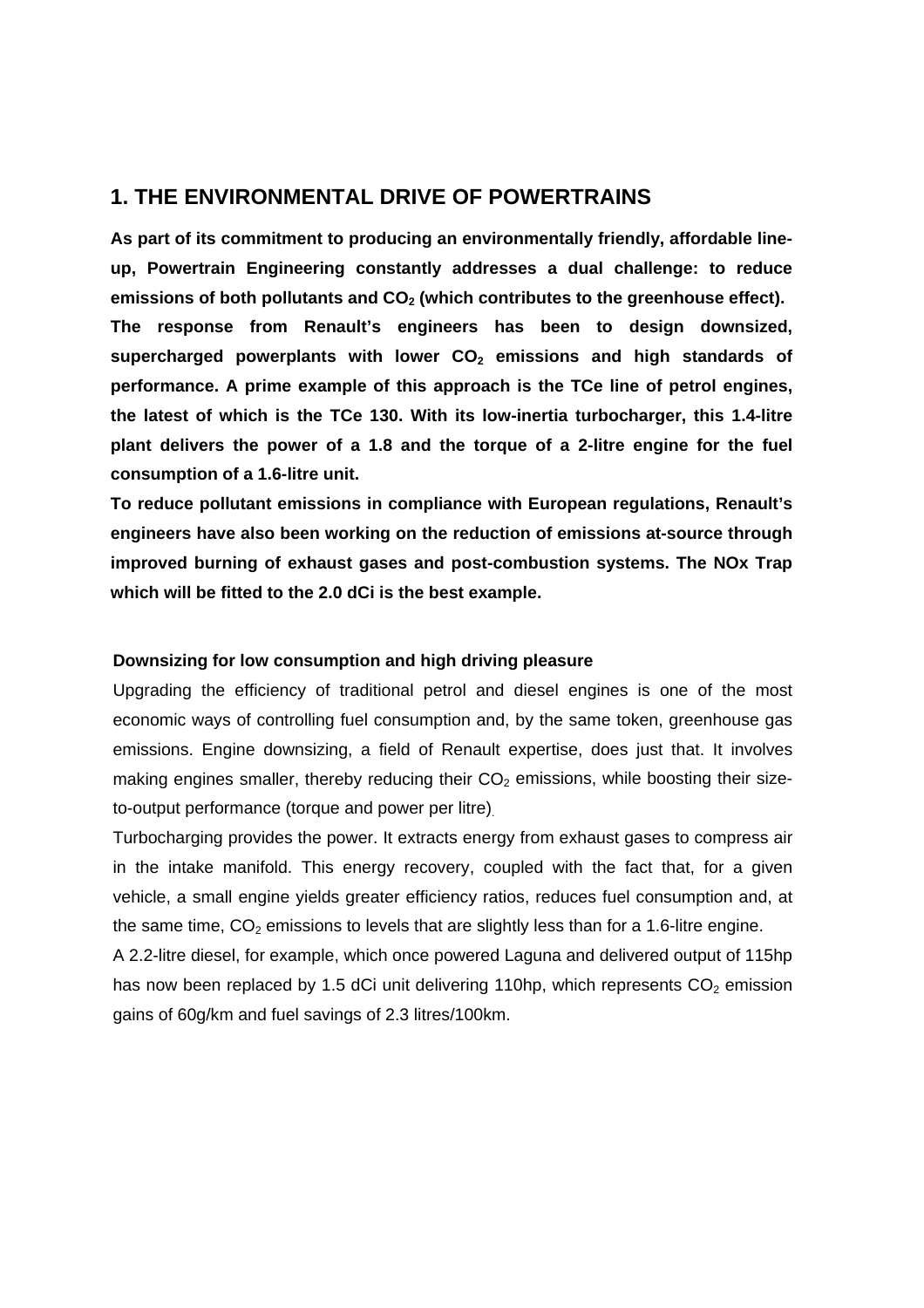# **1. THE ENVIRONMENTAL DRIVE OF POWERTRAINS**

**As part of its commitment to producing an environmentally friendly, affordable lineup, Powertrain Engineering constantly addresses a dual challenge: to reduce**  emissions of both pollutants and CO<sub>2</sub> (which contributes to the greenhouse effect). **The response from Renault's engineers has been to design downsized,**  supercharged powerplants with lower CO<sub>2</sub> emissions and high standards of **performance. A prime example of this approach is the TCe line of petrol engines, the latest of which is the TCe 130. With its low-inertia turbocharger, this 1.4-litre plant delivers the power of a 1.8 and the torque of a 2-litre engine for the fuel consumption of a 1.6-litre unit.** 

**To reduce pollutant emissions in compliance with European regulations, Renault's engineers have also been working on the reduction of emissions at-source through improved burning of exhaust gases and post-combustion systems. The NOx Trap which will be fitted to the 2.0 dCi is the best example.** 

#### **Downsizing for low consumption and high driving pleasure**

Upgrading the efficiency of traditional petrol and diesel engines is one of the most economic ways of controlling fuel consumption and, by the same token, greenhouse gas emissions. Engine downsizing, a field of Renault expertise, does just that. It involves making engines smaller, thereby reducing their  $CO<sub>2</sub>$  emissions, while boosting their sizeto-output performance (torque and power per litre).

Turbocharging provides the power. It extracts energy from exhaust gases to compress air in the intake manifold. This energy recovery, coupled with the fact that, for a given vehicle, a small engine yields greater efficiency ratios, reduces fuel consumption and, at the same time,  $CO<sub>2</sub>$  emissions to levels that are slightly less than for a 1.6-litre engine.

A 2.2-litre diesel, for example, which once powered Laguna and delivered output of 115hp has now been replaced by 1.5 dCi unit delivering 110hp, which represents  $CO<sub>2</sub>$  emission gains of 60g/km and fuel savings of 2.3 litres/100km.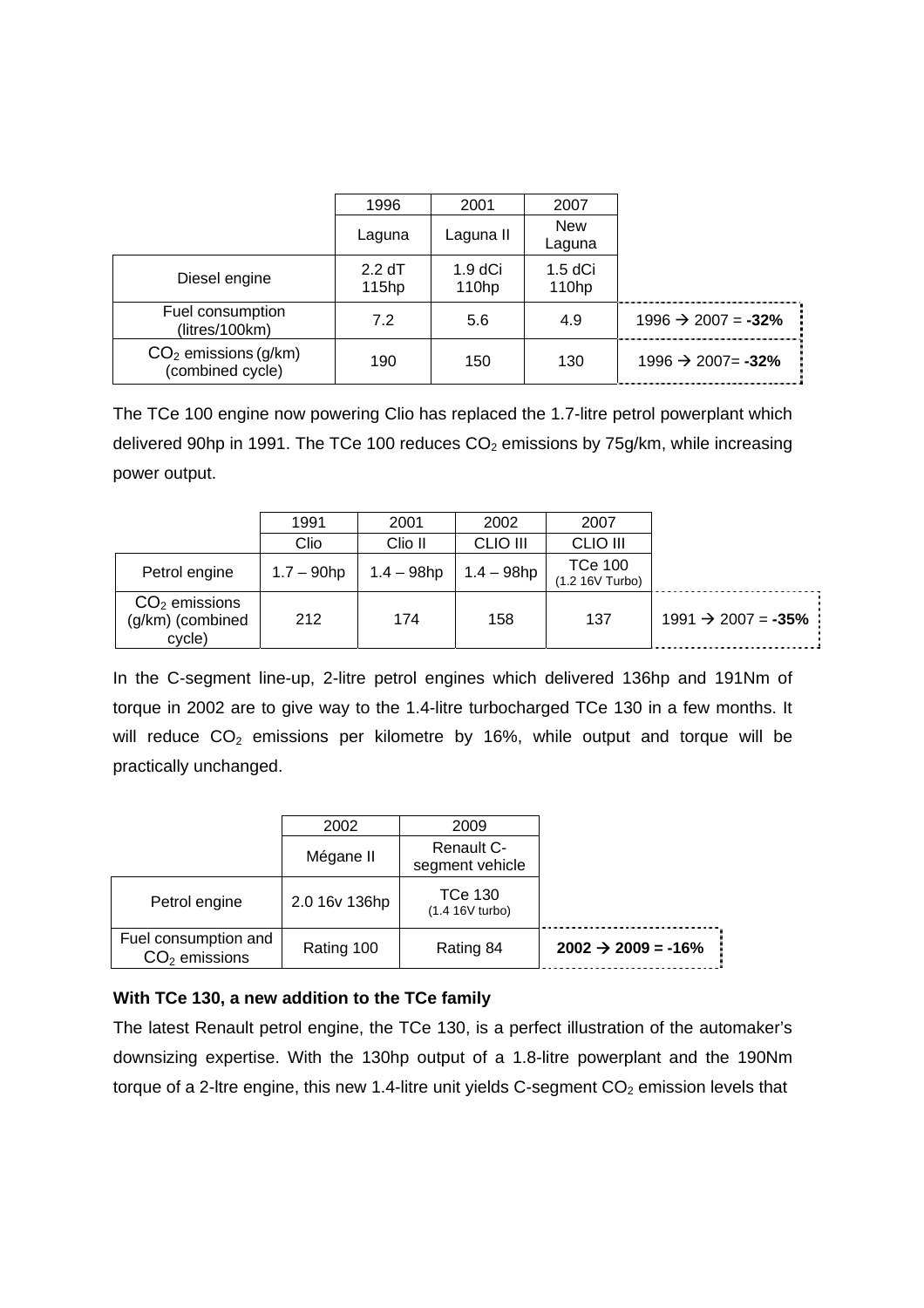|                                            | 1996                        | 2001                            | 2007               |                                 |
|--------------------------------------------|-----------------------------|---------------------------------|--------------------|---------------------------------|
|                                            |                             | Laguna II                       | <b>New</b>         |                                 |
|                                            | Laguna                      |                                 | Laguna             |                                 |
| Diesel engine                              | 2.2 dT<br>115 <sub>hp</sub> | $1.9 dC$ i<br>110 <sub>hp</sub> | $1.5$ dCi<br>110hp |                                 |
| Fuel consumption<br>(litres/100km)         | 7.2                         | 5.6                             | 4.9                | $1996 \rightarrow 2007 = -32\%$ |
| $CO2$ emissions (g/km)<br>(combined cycle) | 190                         | 150                             | 130                | $1996 \rightarrow 2007 = -32\%$ |

The TCe 100 engine now powering Clio has replaced the 1.7-litre petrol powerplant which delivered 90hp in 1991. The TCe 100 reduces  $CO<sub>2</sub>$  emissions by 75g/km, while increasing power output.

|                                               | 1991          | 2001          | 2002            | 2007                                 |                                 |
|-----------------------------------------------|---------------|---------------|-----------------|--------------------------------------|---------------------------------|
|                                               | Clio          | Clio II       | <b>CLIO III</b> | <b>CLIO III</b>                      |                                 |
| Petrol engine                                 | $1.7 - 90$ hp | $1.4 - 98$ hp | $1.4 - 98$ hp   | <b>TCe 100</b><br>$(1.2 16V)$ Turbo) |                                 |
| $CO2$ emissions<br>(g/km) (combined<br>cycle) | 212           | 174           | 158             | 137                                  | $1991 \rightarrow 2007 = -35\%$ |

In the C-segment line-up, 2-litre petrol engines which delivered 136hp and 191Nm of torque in 2002 are to give way to the 1.4-litre turbocharged TCe 130 in a few months. It will reduce  $CO<sub>2</sub>$  emissions per kilometre by 16%, while output and torque will be practically unchanged.

|                                         | 2002          | 2009                          |                          |
|-----------------------------------------|---------------|-------------------------------|--------------------------|
|                                         | Mégane II     | Renault C-<br>segment vehicle |                          |
| Petrol engine                           | 2.0 16v 136hp | TCe 130<br>$(1.4 16V$ turbo)  |                          |
| Fuel consumption and<br>$CO2$ emissions | Rating 100    | Rating 84                     | $2002 \div 2009 = -16\%$ |

# **With TCe 130, a new addition to the TCe family**

The latest Renault petrol engine, the TCe 130, is a perfect illustration of the automaker's downsizing expertise. With the 130hp output of a 1.8-litre powerplant and the 190Nm torque of a 2-ltre engine, this new 1.4-litre unit yields C-segment  $CO<sub>2</sub>$  emission levels that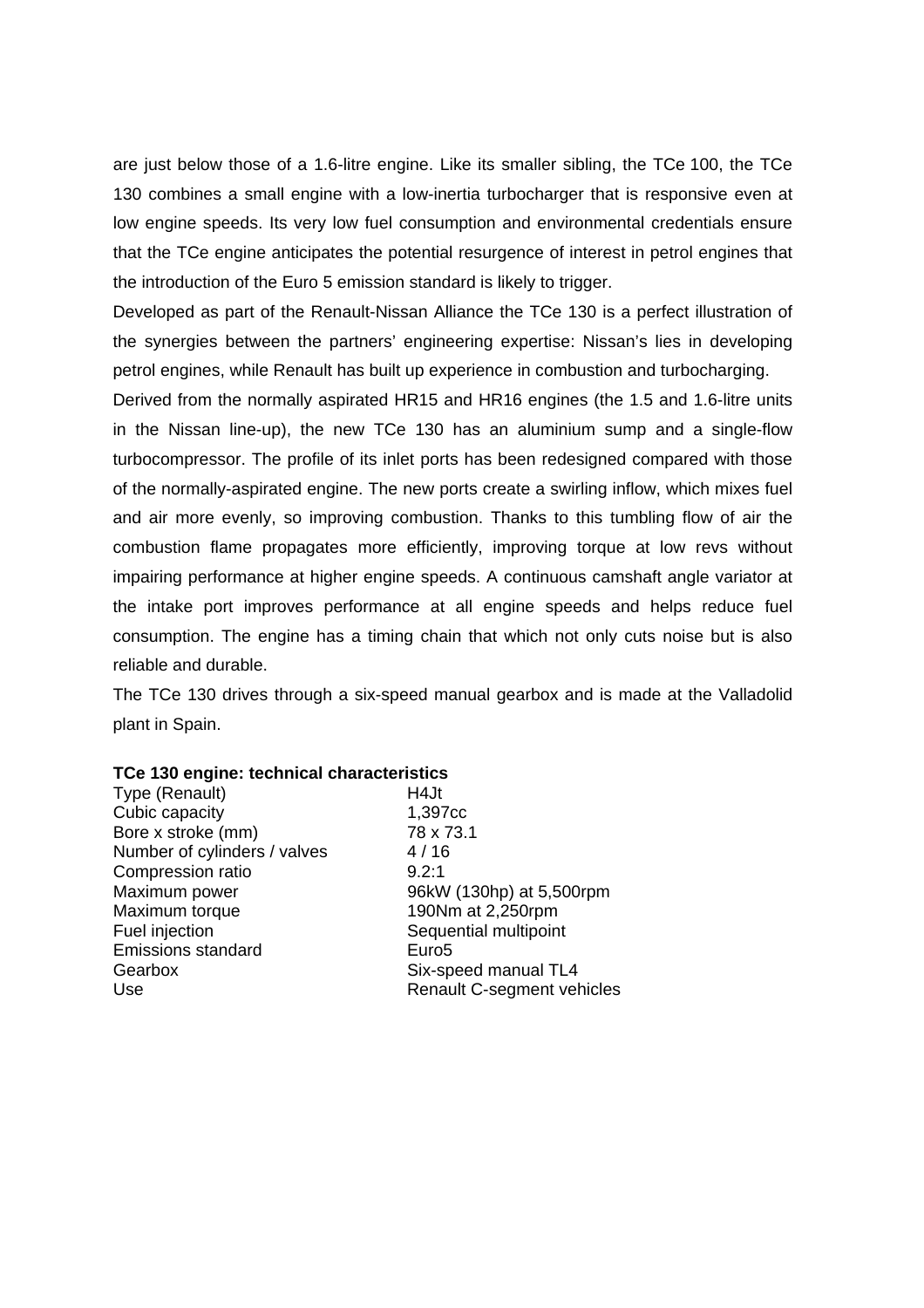are just below those of a 1.6-litre engine. Like its smaller sibling, the TCe 100, the TCe 130 combines a small engine with a low-inertia turbocharger that is responsive even at low engine speeds. Its very low fuel consumption and environmental credentials ensure that the TCe engine anticipates the potential resurgence of interest in petrol engines that the introduction of the Euro 5 emission standard is likely to trigger.

Developed as part of the Renault-Nissan Alliance the TCe 130 is a perfect illustration of the synergies between the partners' engineering expertise: Nissan's lies in developing petrol engines, while Renault has built up experience in combustion and turbocharging.

Derived from the normally aspirated HR15 and HR16 engines (the 1.5 and 1.6-litre units in the Nissan line-up), the new TCe 130 has an aluminium sump and a single-flow turbocompressor. The profile of its inlet ports has been redesigned compared with those of the normally-aspirated engine. The new ports create a swirling inflow, which mixes fuel and air more evenly, so improving combustion. Thanks to this tumbling flow of air the combustion flame propagates more efficiently, improving torque at low revs without impairing performance at higher engine speeds. A continuous camshaft angle variator at the intake port improves performance at all engine speeds and helps reduce fuel consumption. The engine has a timing chain that which not only cuts noise but is also reliable and durable.

The TCe 130 drives through a six-speed manual gearbox and is made at the Valladolid plant in Spain.

#### **TCe 130 engine: technical characteristics**

Type (Renault) H4Jt Cubic capacity 1,397cc Bore x stroke (mm) 78 x 73.1 Number of cylinders / valves 4 / 16 Compression ratio 9.2:1 Maximum power 96kW (130hp) at 5,500rpm Maximum torque 190Nm at 2,250rpm Fuel injection Sequential multipoint Emissions standard Euro5 Gearbox Six-speed manual TL4

Use Use Renault C-segment vehicles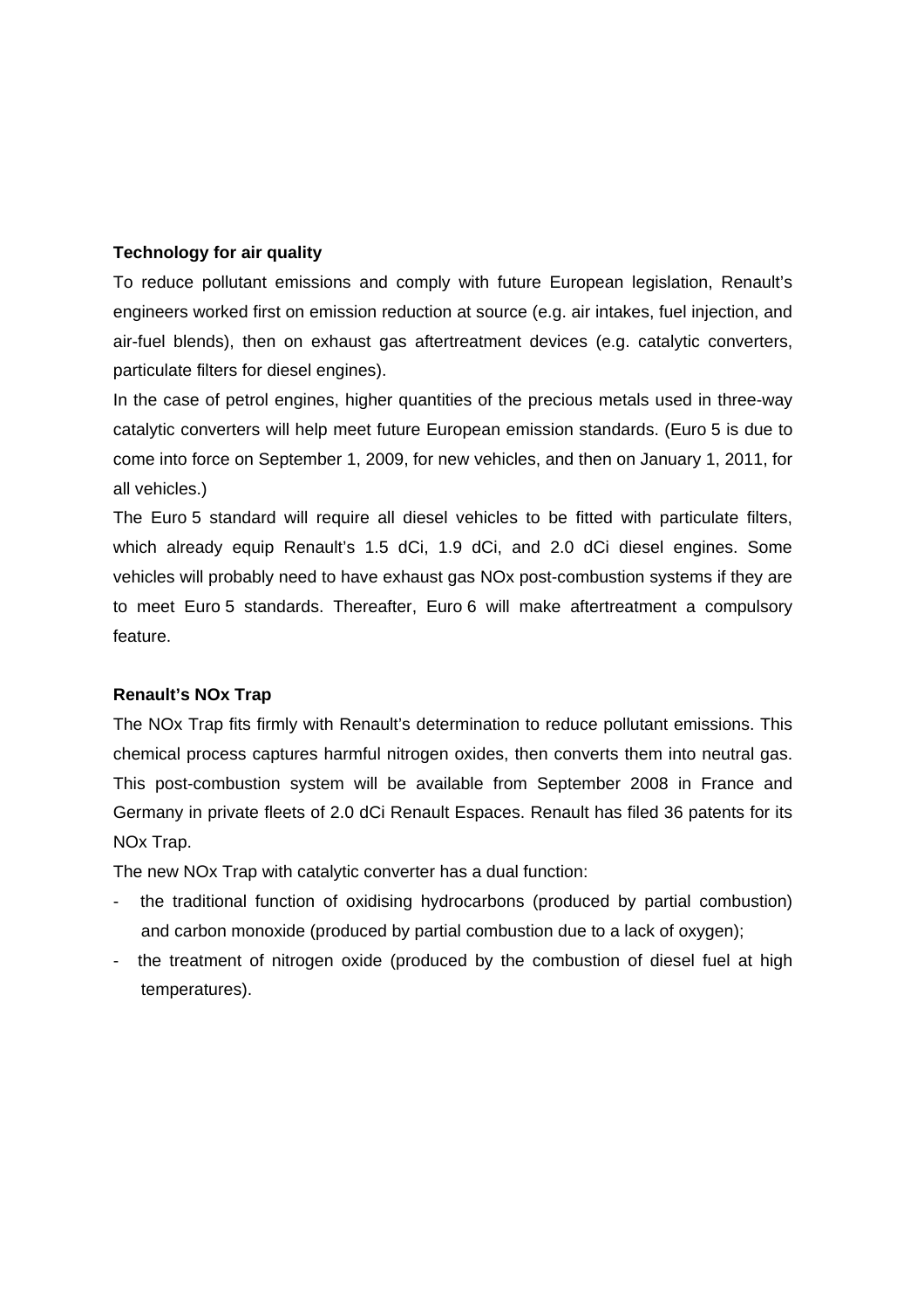# **Technology for air quality**

To reduce pollutant emissions and comply with future European legislation, Renault's engineers worked first on emission reduction at source (e.g. air intakes, fuel injection, and air-fuel blends), then on exhaust gas aftertreatment devices (e.g. catalytic converters, particulate filters for diesel engines).

In the case of petrol engines, higher quantities of the precious metals used in three-way catalytic converters will help meet future European emission standards. (Euro 5 is due to come into force on September 1, 2009, for new vehicles, and then on January 1, 2011, for all vehicles.)

The Euro 5 standard will require all diesel vehicles to be fitted with particulate filters, which already equip Renault's 1.5 dCi, 1.9 dCi, and 2.0 dCi diesel engines. Some vehicles will probably need to have exhaust gas NOx post-combustion systems if they are to meet Euro 5 standards. Thereafter, Euro 6 will make aftertreatment a compulsory feature.

# **Renault's NOx Trap**

The NOx Trap fits firmly with Renault's determination to reduce pollutant emissions. This chemical process captures harmful nitrogen oxides, then converts them into neutral gas. This post-combustion system will be available from September 2008 in France and Germany in private fleets of 2.0 dCi Renault Espaces. Renault has filed 36 patents for its NOx Trap.

The new NOx Trap with catalytic converter has a dual function:

- the traditional function of oxidising hydrocarbons (produced by partial combustion) and carbon monoxide (produced by partial combustion due to a lack of oxygen);
- the treatment of nitrogen oxide (produced by the combustion of diesel fuel at high temperatures).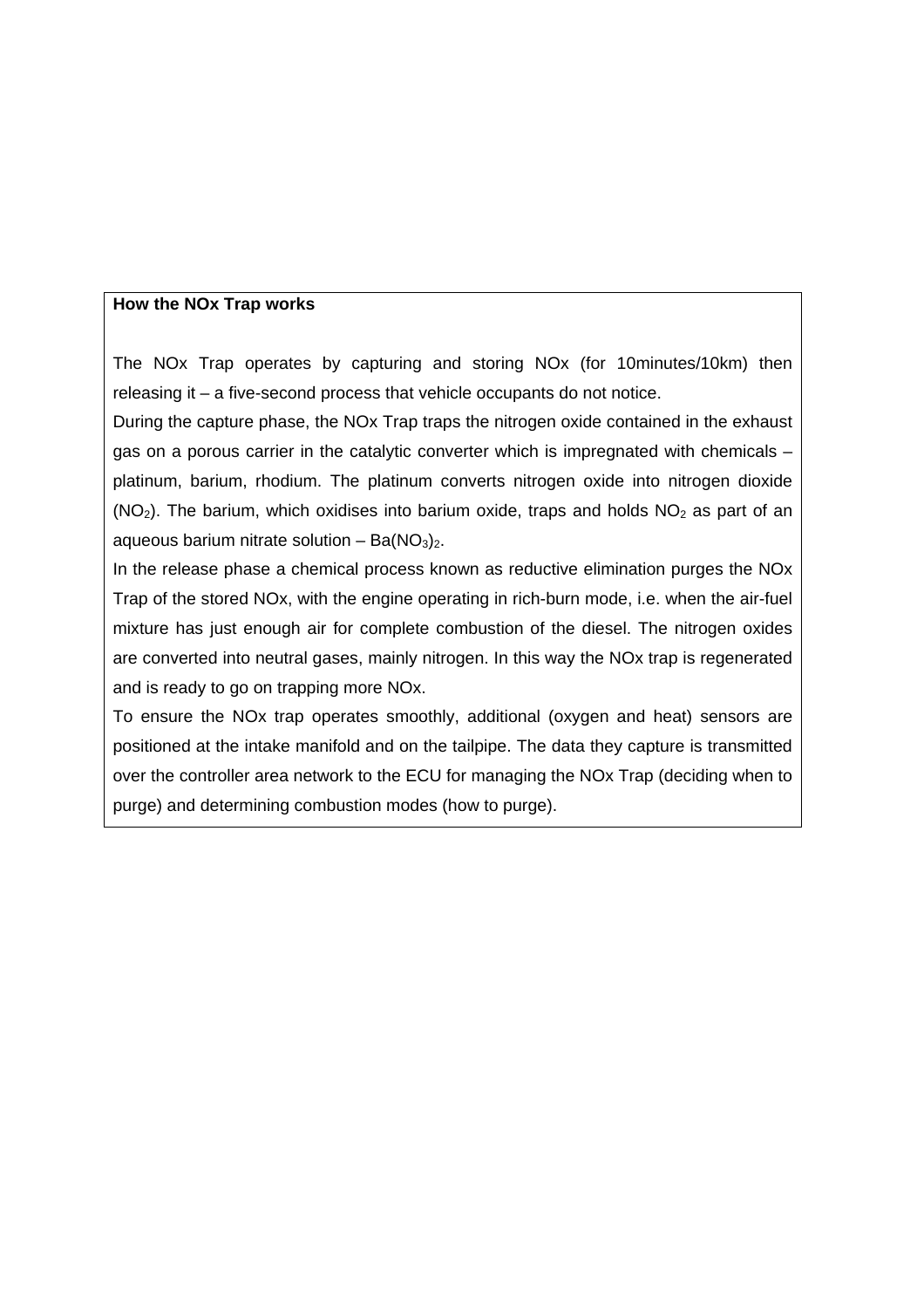#### **How the NOx Trap works**

The NOx Trap operates by capturing and storing NOx (for 10minutes/10km) then releasing it – a five-second process that vehicle occupants do not notice.

During the capture phase, the NOx Trap traps the nitrogen oxide contained in the exhaust gas on a porous carrier in the catalytic converter which is impregnated with chemicals – platinum, barium, rhodium. The platinum converts nitrogen oxide into nitrogen dioxide  $(NO<sub>2</sub>)$ . The barium, which oxidises into barium oxide, traps and holds  $NO<sub>2</sub>$  as part of an aqueous barium nitrate solution – Ba $(NO<sub>3</sub>)<sub>2</sub>$ .

In the release phase a chemical process known as reductive elimination purges the NOx Trap of the stored NOx, with the engine operating in rich-burn mode, i.e. when the air-fuel mixture has just enough air for complete combustion of the diesel. The nitrogen oxides are converted into neutral gases, mainly nitrogen. In this way the NOx trap is regenerated and is ready to go on trapping more NOx.

To ensure the NOx trap operates smoothly, additional (oxygen and heat) sensors are positioned at the intake manifold and on the tailpipe. The data they capture is transmitted over the controller area network to the ECU for managing the NOx Trap (deciding when to purge) and determining combustion modes (how to purge).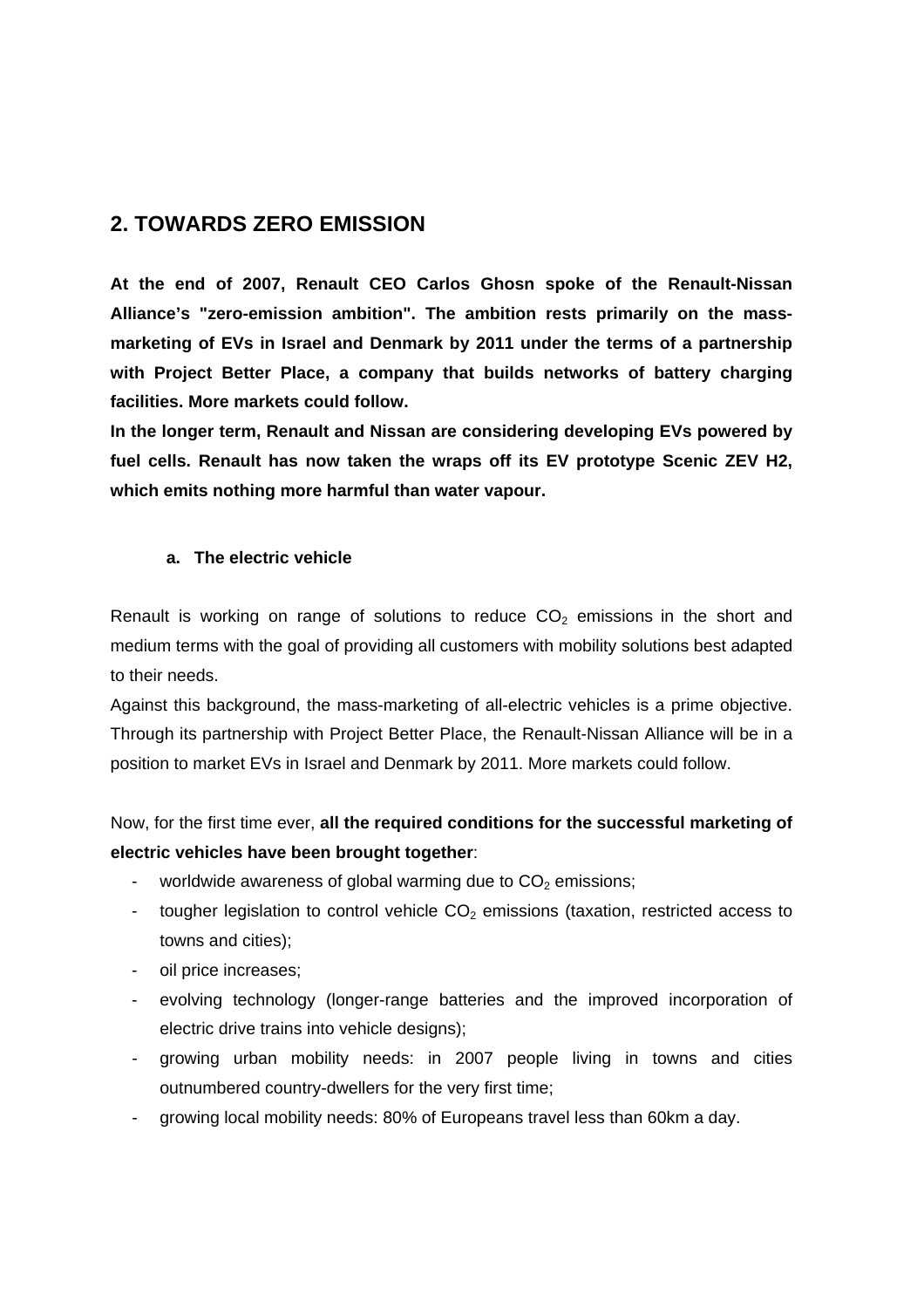# **2. TOWARDS ZERO EMISSION**

**At the end of 2007, Renault CEO Carlos Ghosn spoke of the Renault-Nissan Alliance's "zero-emission ambition". The ambition rests primarily on the massmarketing of EVs in Israel and Denmark by 2011 under the terms of a partnership with Project Better Place, a company that builds networks of battery charging facilities. More markets could follow.** 

**In the longer term, Renault and Nissan are considering developing EVs powered by fuel cells. Renault has now taken the wraps off its EV prototype Scenic ZEV H2, which emits nothing more harmful than water vapour.** 

# **a. The electric vehicle**

Renault is working on range of solutions to reduce  $CO<sub>2</sub>$  emissions in the short and medium terms with the goal of providing all customers with mobility solutions best adapted to their needs.

Against this background, the mass-marketing of all-electric vehicles is a prime objective. Through its partnership with Project Better Place, the Renault-Nissan Alliance will be in a position to market EVs in Israel and Denmark by 2011. More markets could follow.

Now, for the first time ever, **all the required conditions for the successful marketing of electric vehicles have been brought together**:

- worldwide awareness of global warming due to  $CO<sub>2</sub>$  emissions;
- tougher legislation to control vehicle  $CO<sub>2</sub>$  emissions (taxation, restricted access to towns and cities);
- oil price increases;
- evolving technology (longer-range batteries and the improved incorporation of electric drive trains into vehicle designs);
- growing urban mobility needs: in 2007 people living in towns and cities outnumbered country-dwellers for the very first time;
- growing local mobility needs: 80% of Europeans travel less than 60km a day.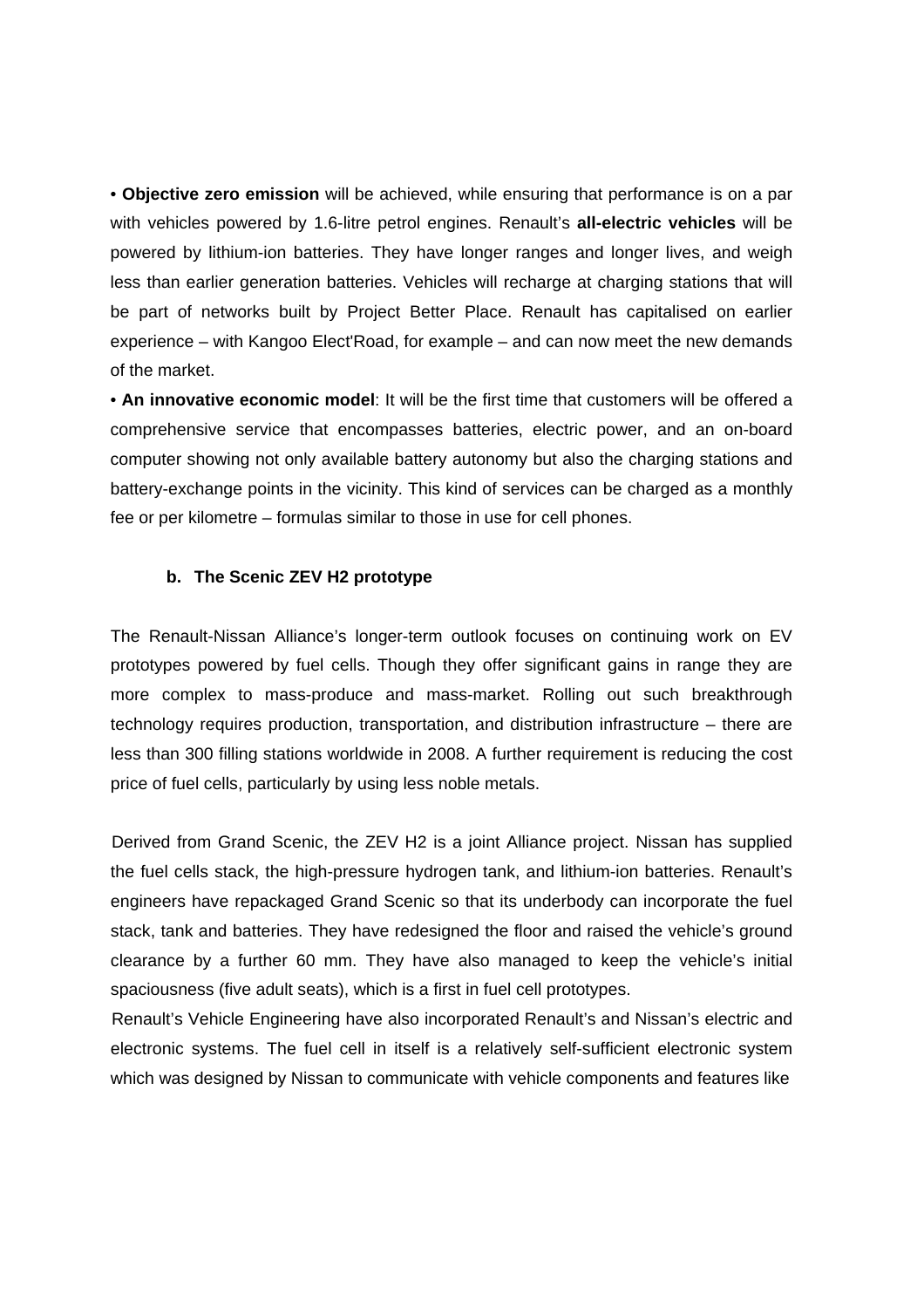• **Objective zero emission** will be achieved, while ensuring that performance is on a par with vehicles powered by 1.6-litre petrol engines. Renault's **all-electric vehicles** will be powered by lithium-ion batteries. They have longer ranges and longer lives, and weigh less than earlier generation batteries. Vehicles will recharge at charging stations that will be part of networks built by Project Better Place. Renault has capitalised on earlier experience – with Kangoo Elect'Road, for example – and can now meet the new demands of the market.

• **An innovative economic model**: It will be the first time that customers will be offered a comprehensive service that encompasses batteries, electric power, and an on-board computer showing not only available battery autonomy but also the charging stations and battery-exchange points in the vicinity. This kind of services can be charged as a monthly fee or per kilometre – formulas similar to those in use for cell phones.

#### **b. The Scenic ZEV H2 prototype**

The Renault-Nissan Alliance's longer-term outlook focuses on continuing work on EV prototypes powered by fuel cells. Though they offer significant gains in range they are more complex to mass-produce and mass-market. Rolling out such breakthrough technology requires production, transportation, and distribution infrastructure – there are less than 300 filling stations worldwide in 2008. A further requirement is reducing the cost price of fuel cells, particularly by using less noble metals.

Derived from Grand Scenic, the ZEV H2 is a joint Alliance project. Nissan has supplied the fuel cells stack, the high-pressure hydrogen tank, and lithium-ion batteries. Renault's engineers have repackaged Grand Scenic so that its underbody can incorporate the fuel stack, tank and batteries. They have redesigned the floor and raised the vehicle's ground clearance by a further 60 mm. They have also managed to keep the vehicle's initial spaciousness (five adult seats), which is a first in fuel cell prototypes.

Renault's Vehicle Engineering have also incorporated Renault's and Nissan's electric and electronic systems. The fuel cell in itself is a relatively self-sufficient electronic system which was designed by Nissan to communicate with vehicle components and features like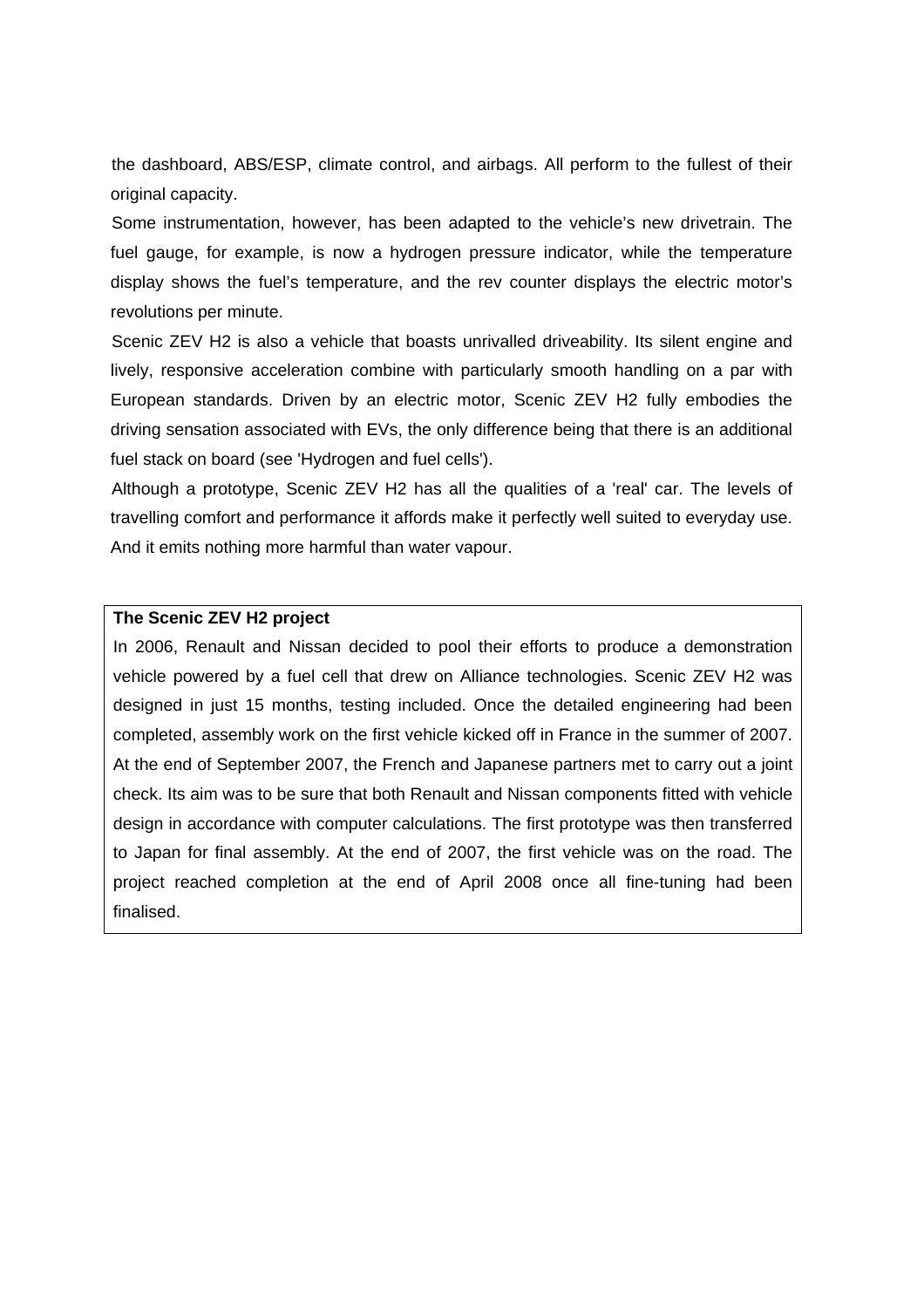the dashboard, ABS/ESP, climate control, and airbags. All perform to the fullest of their original capacity.

Some instrumentation, however, has been adapted to the vehicle's new drivetrain. The fuel gauge, for example, is now a hydrogen pressure indicator, while the temperature display shows the fuel's temperature, and the rev counter displays the electric motor's revolutions per minute.

Scenic ZEV H2 is also a vehicle that boasts unrivalled driveability. Its silent engine and lively, responsive acceleration combine with particularly smooth handling on a par with European standards. Driven by an electric motor, Scenic ZEV H2 fully embodies the driving sensation associated with EVs, the only difference being that there is an additional fuel stack on board (see 'Hydrogen and fuel cells').

Although a prototype, Scenic ZEV H2 has all the qualities of a 'real' car. The levels of travelling comfort and performance it affords make it perfectly well suited to everyday use. And it emits nothing more harmful than water vapour.

#### **The Scenic ZEV H2 project**

In 2006, Renault and Nissan decided to pool their efforts to produce a demonstration vehicle powered by a fuel cell that drew on Alliance technologies. Scenic ZEV H2 was designed in just 15 months, testing included. Once the detailed engineering had been completed, assembly work on the first vehicle kicked off in France in the summer of 2007. At the end of September 2007, the French and Japanese partners met to carry out a joint check. Its aim was to be sure that both Renault and Nissan components fitted with vehicle design in accordance with computer calculations. The first prototype was then transferred to Japan for final assembly. At the end of 2007, the first vehicle was on the road. The project reached completion at the end of April 2008 once all fine-tuning had been finalised.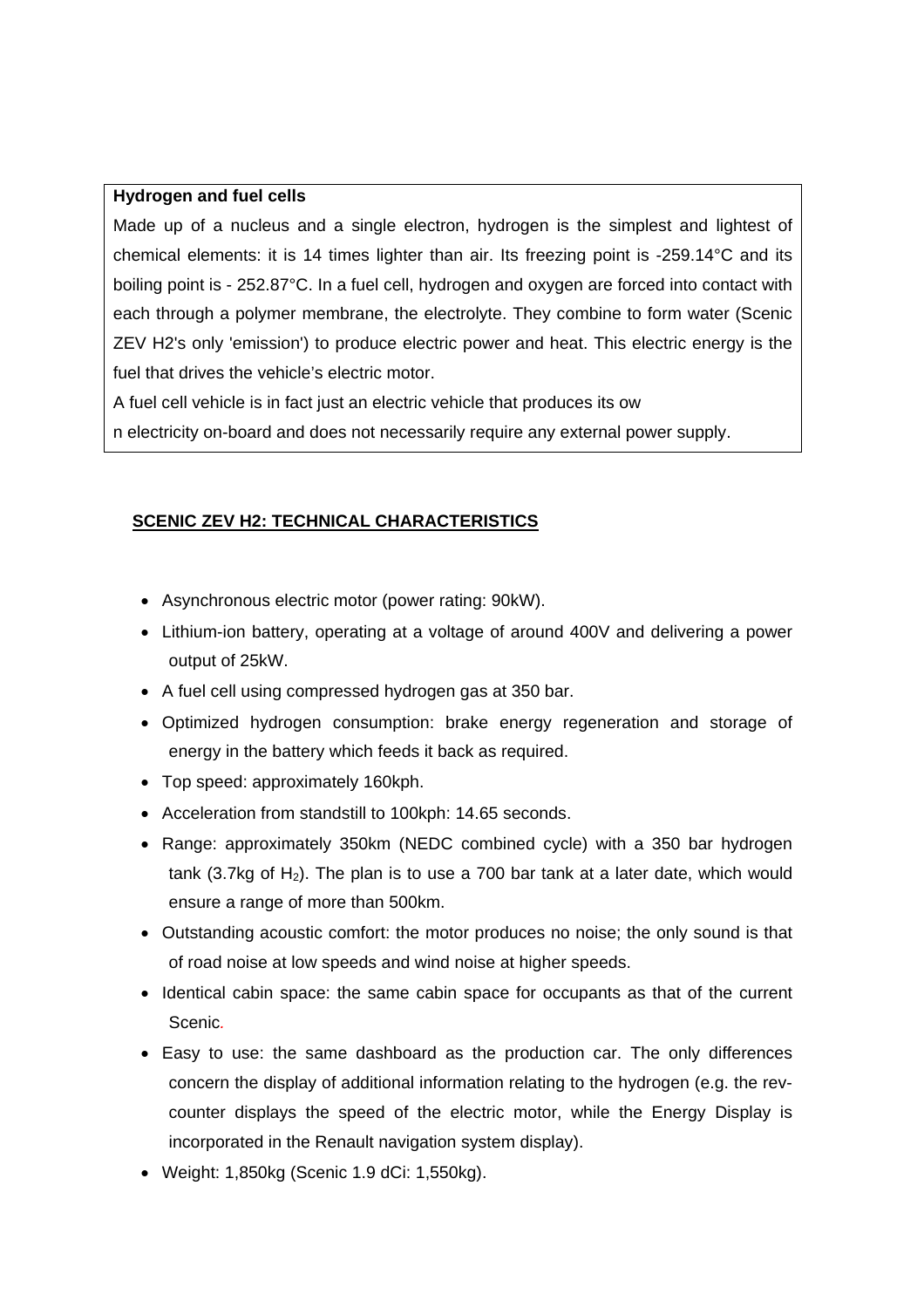#### **Hydrogen and fuel cells**

Made up of a nucleus and a single electron, hydrogen is the simplest and lightest of chemical elements: it is 14 times lighter than air. Its freezing point is -259.14°C and its boiling point is - 252.87°C. In a fuel cell, hydrogen and oxygen are forced into contact with each through a polymer membrane, the electrolyte. They combine to form water (Scenic ZEV H2's only 'emission') to produce electric power and heat. This electric energy is the fuel that drives the vehicle's electric motor.

A fuel cell vehicle is in fact just an electric vehicle that produces its ow

n electricity on-board and does not necessarily require any external power supply.

# **SCENIC ZEV H2: TECHNICAL CHARACTERISTICS**

- Asynchronous electric motor (power rating: 90kW).
- Lithium-ion battery, operating at a voltage of around 400V and delivering a power output of 25kW.
- A fuel cell using compressed hydrogen gas at 350 bar.
- Optimized hydrogen consumption: brake energy regeneration and storage of energy in the battery which feeds it back as required.
- Top speed: approximately 160kph.
- Acceleration from standstill to 100kph: 14.65 seconds.
- Range: approximately 350km (NEDC combined cycle) with a 350 bar hydrogen tank (3.7kg of  $H_2$ ). The plan is to use a 700 bar tank at a later date, which would ensure a range of more than 500km.
- Outstanding acoustic comfort: the motor produces no noise; the only sound is that of road noise at low speeds and wind noise at higher speeds.
- Identical cabin space: the same cabin space for occupants as that of the current Scenic*.*
- Easy to use: the same dashboard as the production car. The only differences concern the display of additional information relating to the hydrogen (e.g. the revcounter displays the speed of the electric motor, while the Energy Display is incorporated in the Renault navigation system display).
- Weight: 1,850kg (Scenic 1.9 dCi: 1,550kg).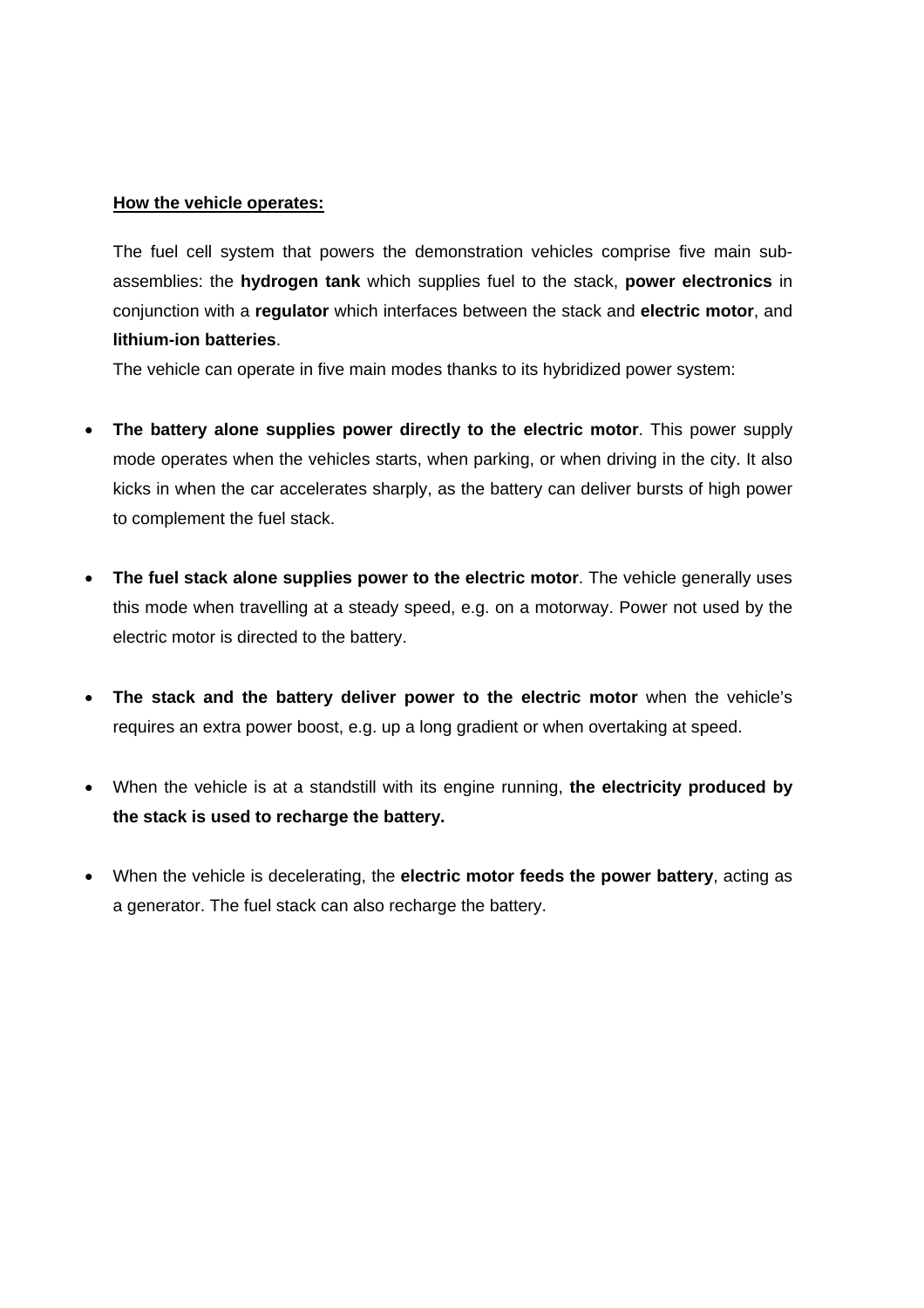#### **How the vehicle operates:**

The fuel cell system that powers the demonstration vehicles comprise five main subassemblies: the **hydrogen tank** which supplies fuel to the stack, **power electronics** in conjunction with a **regulator** which interfaces between the stack and **electric motor**, and **lithium-ion batteries**.

The vehicle can operate in five main modes thanks to its hybridized power system:

- **The battery alone supplies power directly to the electric motor**. This power supply mode operates when the vehicles starts, when parking, or when driving in the city. It also kicks in when the car accelerates sharply, as the battery can deliver bursts of high power to complement the fuel stack.
- **The fuel stack alone supplies power to the electric motor**. The vehicle generally uses this mode when travelling at a steady speed, e.g. on a motorway. Power not used by the electric motor is directed to the battery.
- **The stack and the battery deliver power to the electric motor** when the vehicle's requires an extra power boost, e.g. up a long gradient or when overtaking at speed.
- When the vehicle is at a standstill with its engine running, **the electricity produced by the stack is used to recharge the battery.**
- When the vehicle is decelerating, the **electric motor feeds the power battery**, acting as a generator. The fuel stack can also recharge the battery.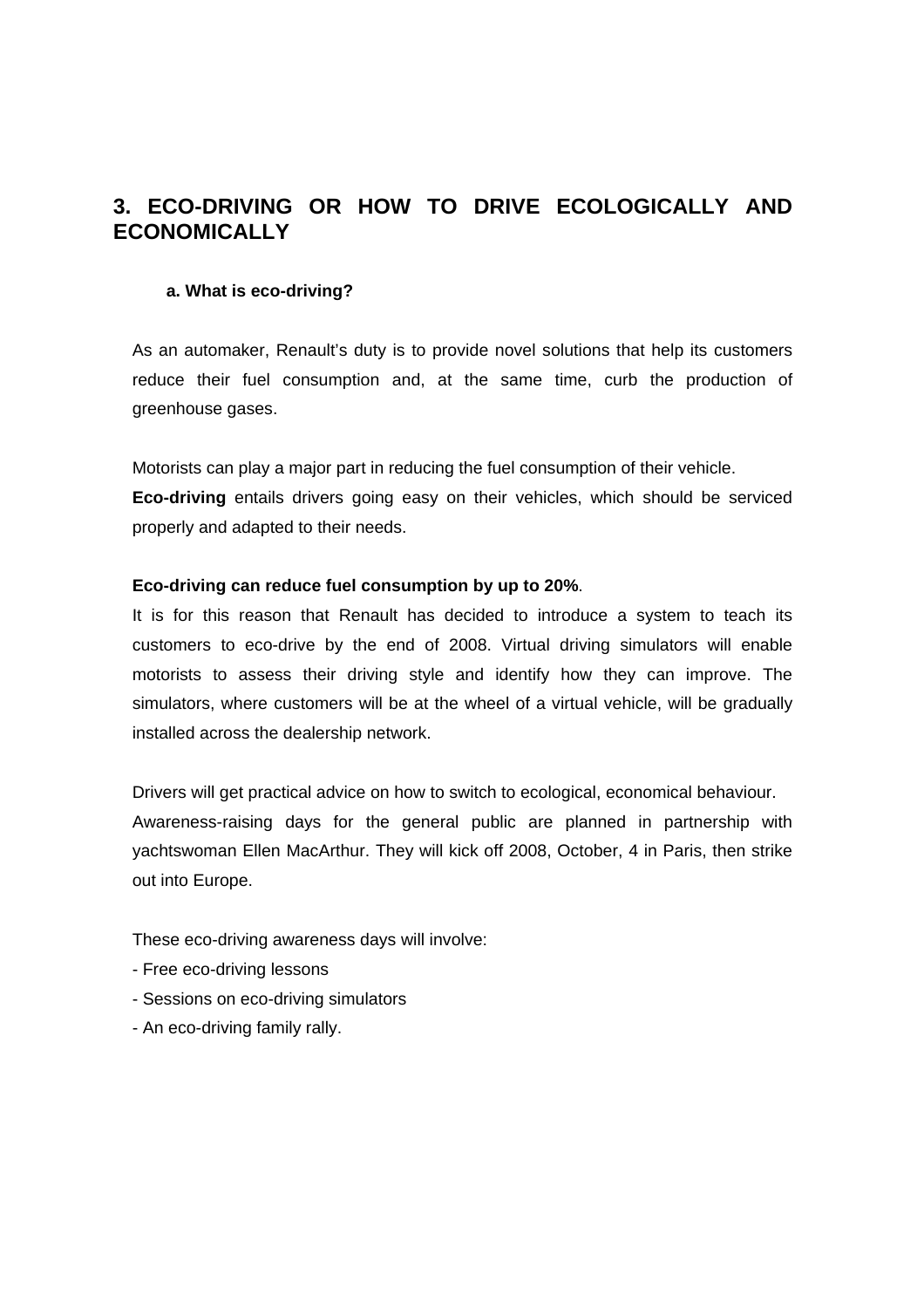# **3. ECO-DRIVING OR HOW TO DRIVE ECOLOGICALLY AND ECONOMICALLY**

#### **a. What is eco-driving?**

As an automaker, Renault's duty is to provide novel solutions that help its customers reduce their fuel consumption and, at the same time, curb the production of greenhouse gases.

Motorists can play a major part in reducing the fuel consumption of their vehicle. **Eco-driving** entails drivers going easy on their vehicles, which should be serviced properly and adapted to their needs.

#### **Eco-driving can reduce fuel consumption by up to 20%**.

It is for this reason that Renault has decided to introduce a system to teach its customers to eco-drive by the end of 2008. Virtual driving simulators will enable motorists to assess their driving style and identify how they can improve. The simulators, where customers will be at the wheel of a virtual vehicle, will be gradually installed across the dealership network.

Drivers will get practical advice on how to switch to ecological, economical behaviour. Awareness-raising days for the general public are planned in partnership with yachtswoman Ellen MacArthur. They will kick off 2008, October, 4 in Paris, then strike out into Europe.

These eco-driving awareness days will involve:

- Free eco-driving lessons
- Sessions on eco-driving simulators
- An eco-driving family rally.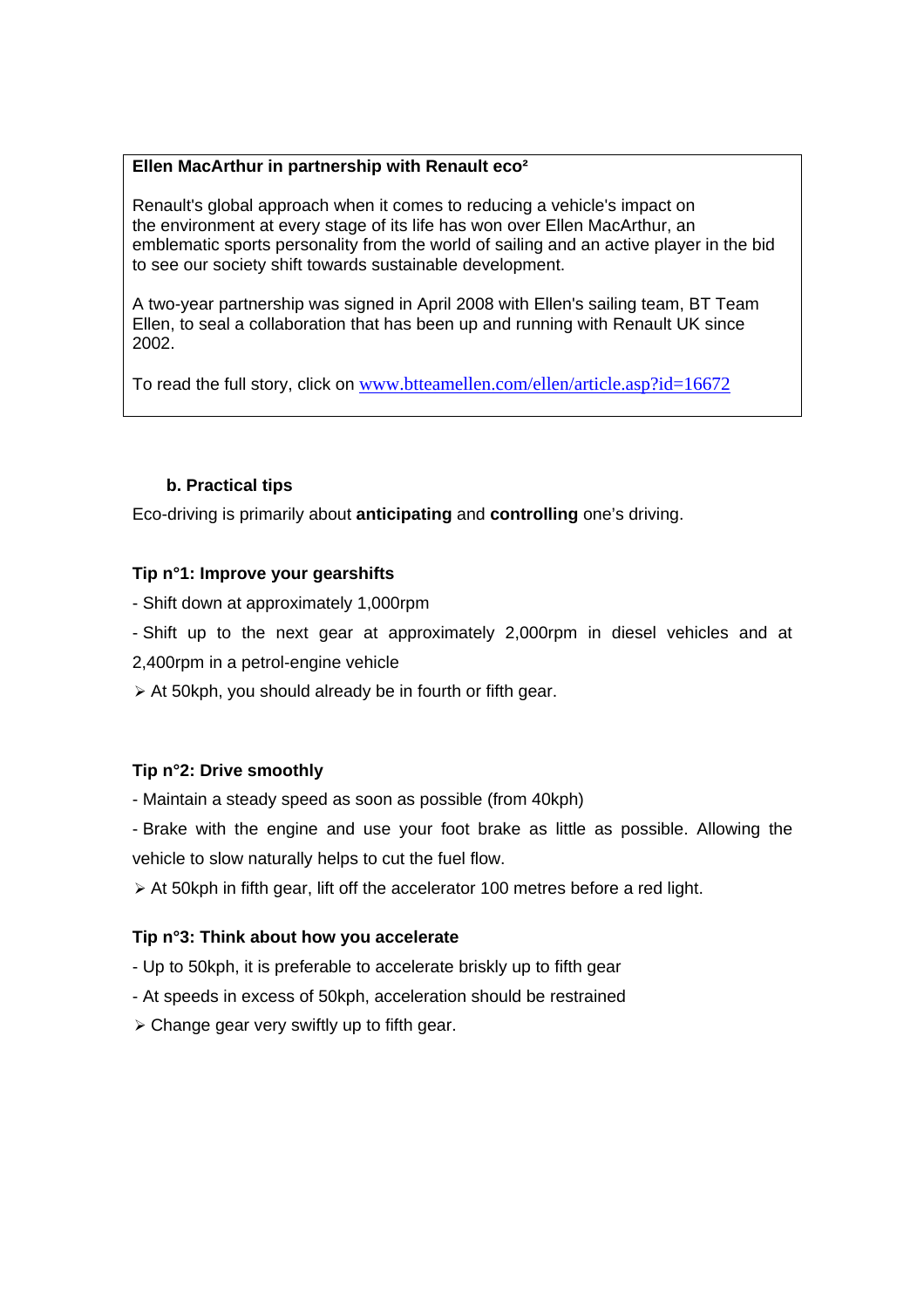#### **Ellen MacArthur in partnership with Renault eco²**

Renault's global approach when it comes to reducing a vehicle's impact on the environment at every stage of its life has won over Ellen MacArthur, an emblematic sports personality from the world of sailing and an active player in the bid to see our society shift towards sustainable development.

A two-year partnership was signed in April 2008 with Ellen's sailing team, BT Team Ellen, to seal a collaboration that has been up and running with Renault UK since 2002.

To read the full story, click on www.btteamellen.com/ellen/article.asp?id=16672

# **b. Practical tips**

Eco-driving is primarily about **anticipating** and **controlling** one's driving.

# **Tip n°1: Improve your gearshifts**

- Shift down at approximately 1,000rpm
- Shift up to the next gear at approximately 2,000rpm in diesel vehicles and at
- 2,400rpm in a petrol-engine vehicle
- $\triangleright$  At 50kph, you should already be in fourth or fifth gear.

# **Tip n°2: Drive smoothly**

- Maintain a steady speed as soon as possible (from 40kph)
- Brake with the engine and use your foot brake as little as possible. Allowing the vehicle to slow naturally helps to cut the fuel flow.
- $\triangleright$  At 50kph in fifth gear, lift off the accelerator 100 metres before a red light.

# **Tip n°3: Think about how you accelerate**

- Up to 50kph, it is preferable to accelerate briskly up to fifth gear
- At speeds in excess of 50kph, acceleration should be restrained
- $\triangleright$  Change gear very swiftly up to fifth gear.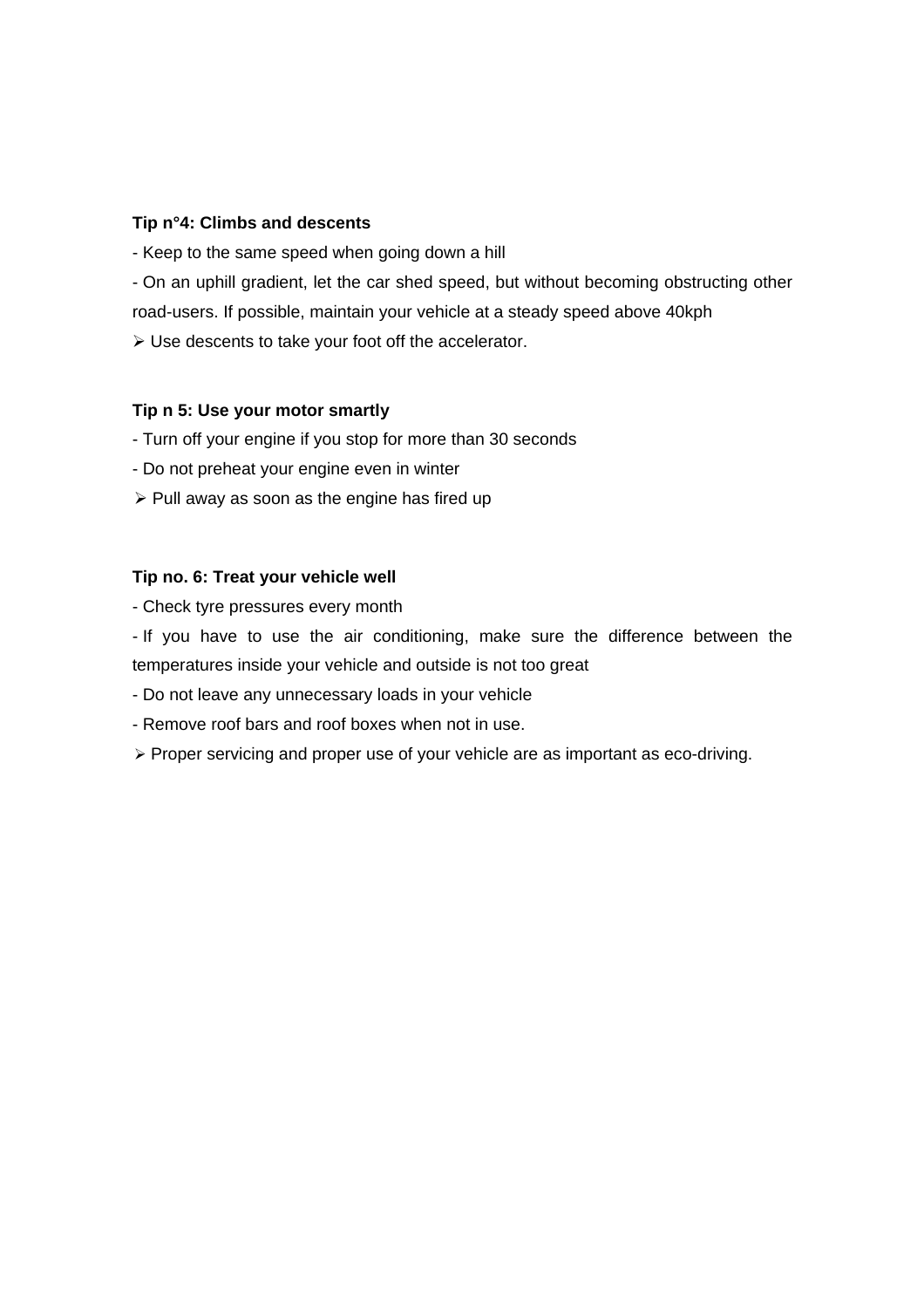# **Tip n°4: Climbs and descents**

- Keep to the same speed when going down a hill

- On an uphill gradient, let the car shed speed, but without becoming obstructing other

road-users. If possible, maintain your vehicle at a steady speed above 40kph

 $\triangleright$  Use descents to take your foot off the accelerator.

#### **Tip n 5: Use your motor smartly**

- Turn off your engine if you stop for more than 30 seconds

- Do not preheat your engine even in winter
- $\triangleright$  Pull away as soon as the engine has fired up

# **Tip no. 6: Treat your vehicle well**

- Check tyre pressures every month

- If you have to use the air conditioning, make sure the difference between the temperatures inside your vehicle and outside is not too great

- Do not leave any unnecessary loads in your vehicle

- Remove roof bars and roof boxes when not in use.
- $\triangleright$  Proper servicing and proper use of your vehicle are as important as eco-driving.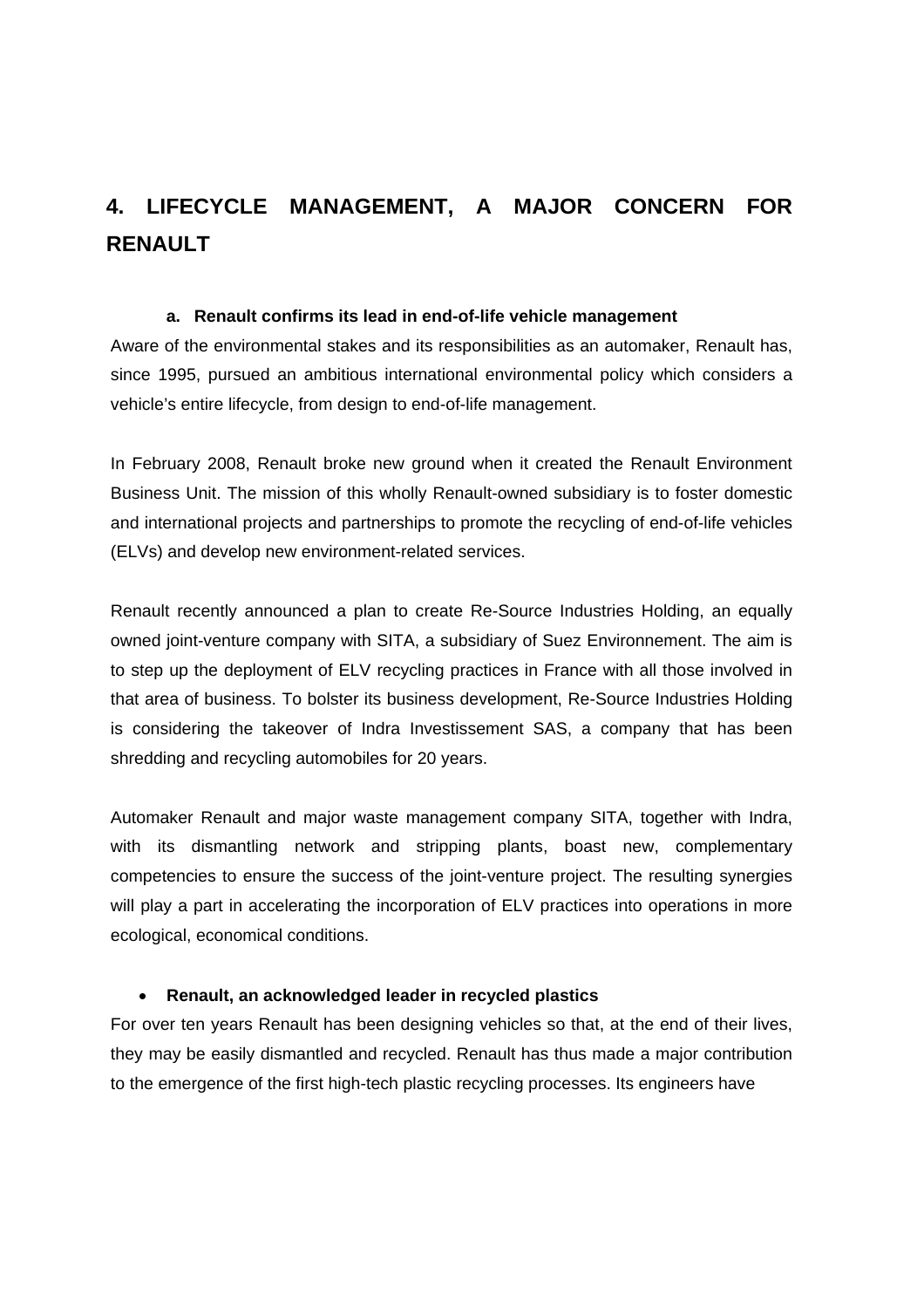# **4. LIFECYCLE MANAGEMENT, A MAJOR CONCERN FOR RENAULT**

# **a. Renault confirms its lead in end-of-life vehicle management**

Aware of the environmental stakes and its responsibilities as an automaker, Renault has, since 1995, pursued an ambitious international environmental policy which considers a vehicle's entire lifecycle, from design to end-of-life management.

In February 2008, Renault broke new ground when it created the Renault Environment Business Unit. The mission of this wholly Renault-owned subsidiary is to foster domestic and international projects and partnerships to promote the recycling of end-of-life vehicles (ELVs) and develop new environment-related services.

Renault recently announced a plan to create Re-Source Industries Holding, an equally owned joint-venture company with SITA, a subsidiary of Suez Environnement. The aim is to step up the deployment of ELV recycling practices in France with all those involved in that area of business. To bolster its business development, Re-Source Industries Holding is considering the takeover of Indra Investissement SAS, a company that has been shredding and recycling automobiles for 20 years.

Automaker Renault and major waste management company SITA, together with Indra, with its dismantling network and stripping plants, boast new, complementary competencies to ensure the success of the joint-venture project. The resulting synergies will play a part in accelerating the incorporation of ELV practices into operations in more ecological, economical conditions.

# • **Renault, an acknowledged leader in recycled plastics**

For over ten years Renault has been designing vehicles so that, at the end of their lives, they may be easily dismantled and recycled. Renault has thus made a major contribution to the emergence of the first high-tech plastic recycling processes. Its engineers have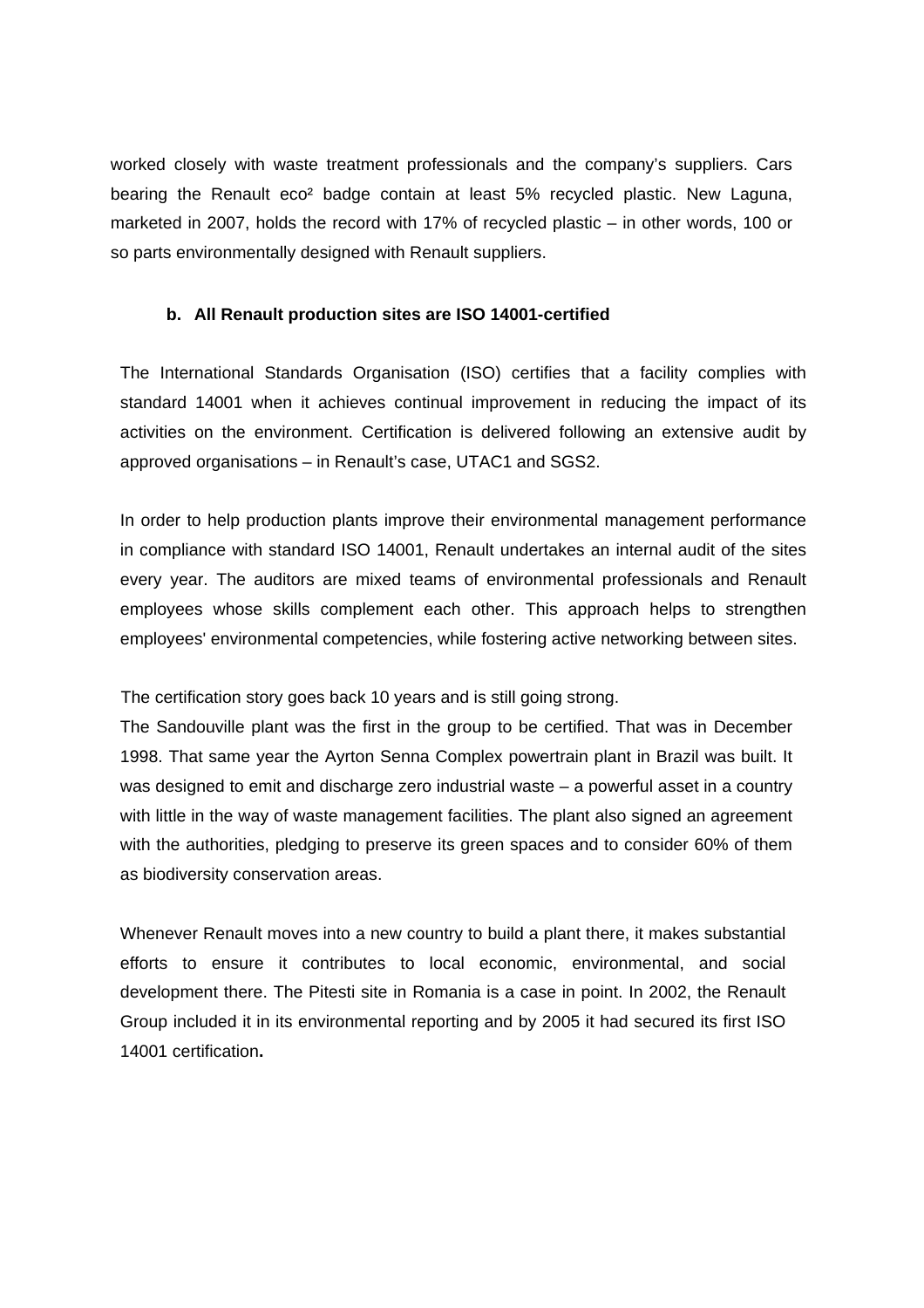worked closely with waste treatment professionals and the company's suppliers. Cars bearing the Renault eco² badge contain at least 5% recycled plastic. New Laguna, marketed in 2007, holds the record with 17% of recycled plastic – in other words, 100 or so parts environmentally designed with Renault suppliers.

#### **b. All Renault production sites are ISO 14001-certified**

The International Standards Organisation (ISO) certifies that a facility complies with standard 14001 when it achieves continual improvement in reducing the impact of its activities on the environment. Certification is delivered following an extensive audit by approved organisations – in Renault's case, UTAC1 and SGS2.

In order to help production plants improve their environmental management performance in compliance with standard ISO 14001, Renault undertakes an internal audit of the sites every year. The auditors are mixed teams of environmental professionals and Renault employees whose skills complement each other. This approach helps to strengthen employees' environmental competencies, while fostering active networking between sites.

The certification story goes back 10 years and is still going strong.

The Sandouville plant was the first in the group to be certified. That was in December 1998. That same year the Ayrton Senna Complex powertrain plant in Brazil was built. It was designed to emit and discharge zero industrial waste – a powerful asset in a country with little in the way of waste management facilities. The plant also signed an agreement with the authorities, pledging to preserve its green spaces and to consider 60% of them as biodiversity conservation areas.

Whenever Renault moves into a new country to build a plant there, it makes substantial efforts to ensure it contributes to local economic, environmental, and social development there. The Pitesti site in Romania is a case in point. In 2002, the Renault Group included it in its environmental reporting and by 2005 it had secured its first ISO 14001 certification**.**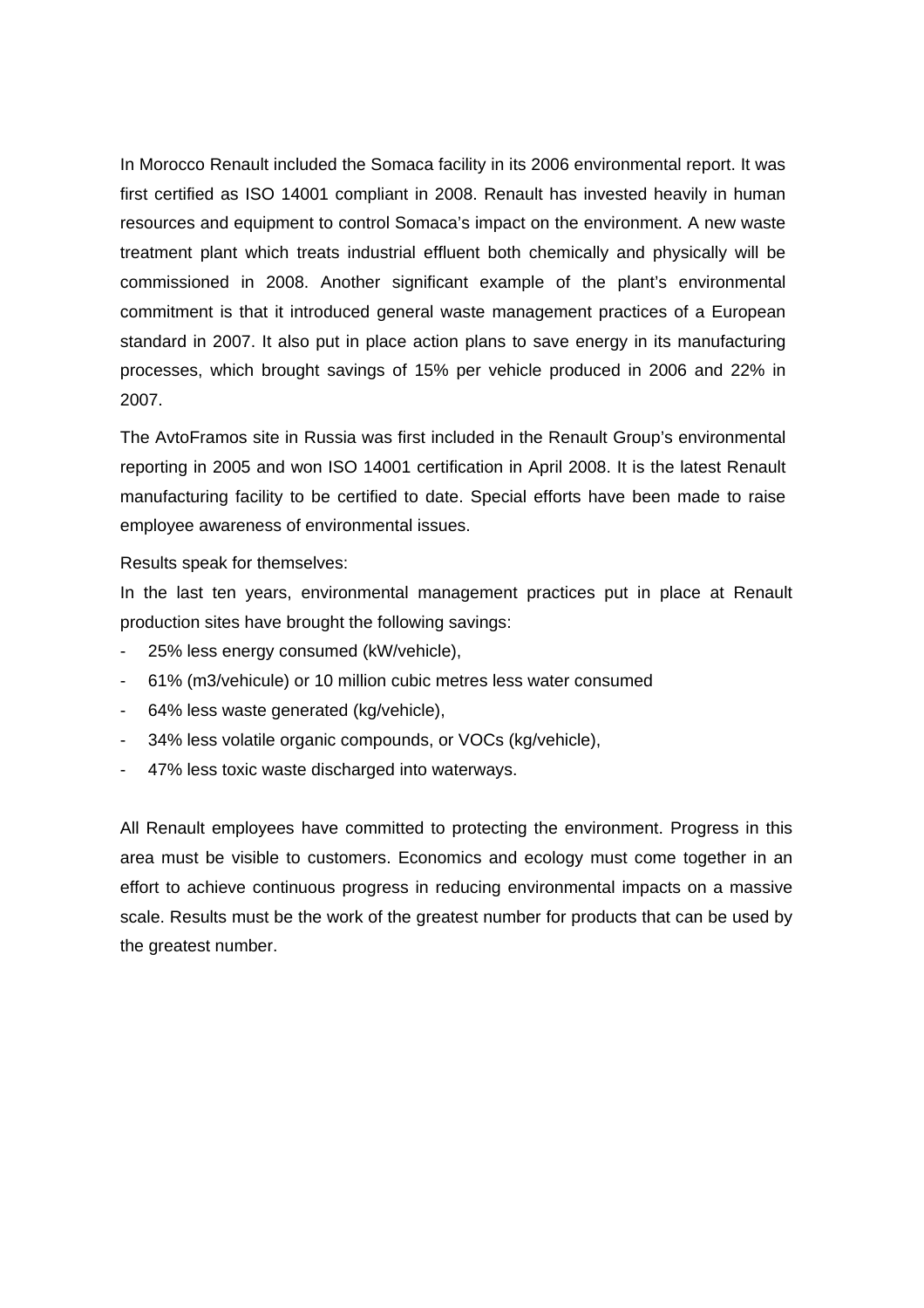In Morocco Renault included the Somaca facility in its 2006 environmental report. It was first certified as ISO 14001 compliant in 2008. Renault has invested heavily in human resources and equipment to control Somaca's impact on the environment. A new waste treatment plant which treats industrial effluent both chemically and physically will be commissioned in 2008. Another significant example of the plant's environmental commitment is that it introduced general waste management practices of a European standard in 2007. It also put in place action plans to save energy in its manufacturing processes, which brought savings of 15% per vehicle produced in 2006 and 22% in 2007.

The AvtoFramos site in Russia was first included in the Renault Group's environmental reporting in 2005 and won ISO 14001 certification in April 2008. It is the latest Renault manufacturing facility to be certified to date. Special efforts have been made to raise employee awareness of environmental issues.

Results speak for themselves:

In the last ten years, environmental management practices put in place at Renault production sites have brought the following savings:

- 25% less energy consumed (kW/vehicle),
- 61% (m3/vehicule) or 10 million cubic metres less water consumed
- 64% less waste generated (kg/vehicle),
- 34% less volatile organic compounds, or VOCs (kg/vehicle),
- 47% less toxic waste discharged into waterways.

All Renault employees have committed to protecting the environment. Progress in this area must be visible to customers. Economics and ecology must come together in an effort to achieve continuous progress in reducing environmental impacts on a massive scale. Results must be the work of the greatest number for products that can be used by the greatest number.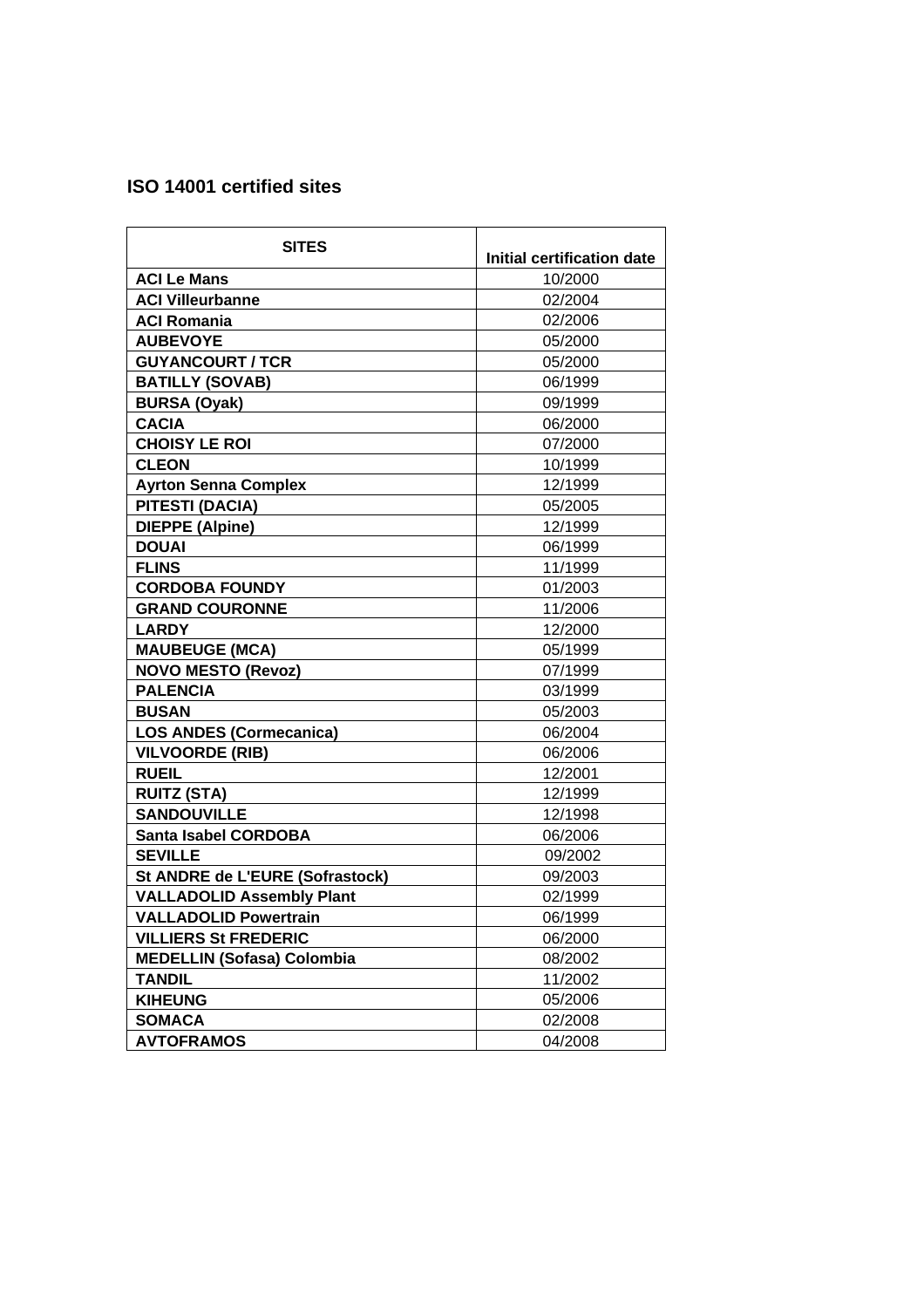# **ISO 14001 certified sites**

| <b>SITES</b>                      |                            |
|-----------------------------------|----------------------------|
|                                   | Initial certification date |
| <b>ACI Le Mans</b>                | 10/2000                    |
| <b>ACI Villeurbanne</b>           | 02/2004                    |
| <b>ACI Romania</b>                | 02/2006                    |
| <b>AUBEVOYE</b>                   | 05/2000                    |
| <b>GUYANCOURT / TCR</b>           | 05/2000                    |
| <b>BATILLY (SOVAB)</b>            | 06/1999                    |
| <b>BURSA (Oyak)</b>               | 09/1999                    |
| <b>CACIA</b>                      | 06/2000                    |
| <b>CHOISY LE ROI</b>              | 07/2000                    |
| <b>CLEON</b>                      | 10/1999                    |
| <b>Ayrton Senna Complex</b>       | 12/1999                    |
| <b>PITESTI (DACIA)</b>            | 05/2005                    |
| <b>DIEPPE (Alpine)</b>            | 12/1999                    |
| <b>DOUAI</b>                      | 06/1999                    |
| <b>FLINS</b>                      | 11/1999                    |
| <b>CORDOBA FOUNDY</b>             | 01/2003                    |
| <b>GRAND COURONNE</b>             | 11/2006                    |
| <b>LARDY</b>                      | 12/2000                    |
| <b>MAUBEUGE (MCA)</b>             | 05/1999                    |
| <b>NOVO MESTO (Revoz)</b>         | 07/1999                    |
| <b>PALENCIA</b>                   | 03/1999                    |
| <b>BUSAN</b>                      | 05/2003                    |
| <b>LOS ANDES (Cormecanica)</b>    | 06/2004                    |
| <b>VILVOORDE (RIB)</b>            | 06/2006                    |
| <b>RUEIL</b>                      | 12/2001                    |
| <b>RUITZ (STA)</b>                | 12/1999                    |
| <b>SANDOUVILLE</b>                | 12/1998                    |
| <b>Santa Isabel CORDOBA</b>       | 06/2006                    |
| <b>SEVILLE</b>                    | 09/2002                    |
| St ANDRE de L'EURE (Sofrastock)   | 09/2003                    |
| <b>VALLADOLID Assembly Plant</b>  | 02/1999                    |
| <b>VALLADOLID Powertrain</b>      | 06/1999                    |
| <b>VILLIERS St FREDERIC</b>       | 06/2000                    |
| <b>MEDELLIN (Sofasa) Colombia</b> | 08/2002                    |
| <b>TANDIL</b>                     | 11/2002                    |
| <b>KIHEUNG</b>                    | 05/2006                    |
| <b>SOMACA</b>                     | 02/2008                    |
| <b>AVTOFRAMOS</b>                 | 04/2008                    |